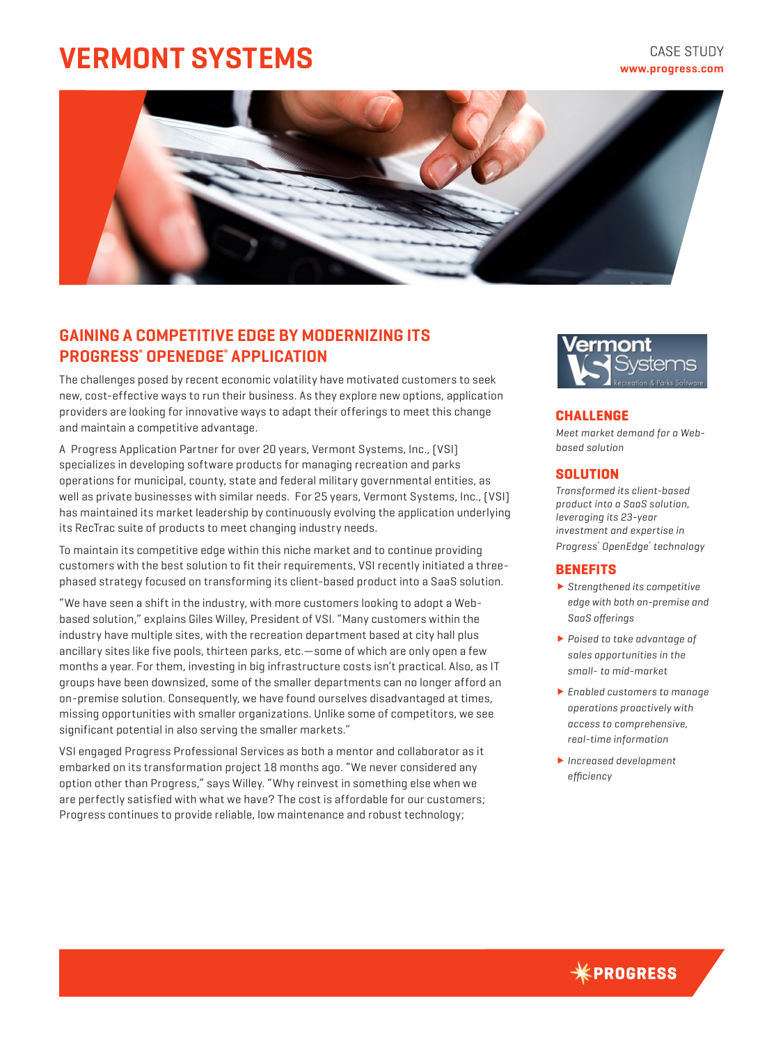# **VERMONT SYSTEMS**

# **CASE STUDY www.progress.com**



# **GAINING A COMPETITIVE EDGE BY MODERNIZING ITS PROGRESS® OPENEDGE® APPLICATION**

The challenges posed by recent economic volatility have motivated customers to seek new, cost-effective ways to run their business. As they explore new options, application providers are looking for innovative ways to adapt their offerings to meet this change and maintain a competitive advantage.

A Progress Application Partner for over 20 years, Vermont Systems, Inc., (VSI) specializes in developing software products for managing recreation and parks operations for municipal, county, state and federal military governmental entities, as well as private businesses with similar needs. For 25 years, Vermont Systems, Inc., (VSI) has maintained its market leadership by continuously evolving the application underlying its RecTrac suite of products to meet changing industry needs.

To maintain its competitive edge within this niche market and to continue providing customers with the best solution to fit their requirements, VSI recently initiated a threephased strategy focused on transforming its client-based product into a SaaS solution.

"We have seen a shift in the industry, with more customers looking to adopt a Webbased solution," explains Giles Willey, President of VSI. "Many customers within the industry have multiple sites, with the recreation department based at city hall plus ancillary sites like five pools, thirteen parks, etc.—some of which are only open a few months a year. For them, investing in big infrastructure costs isn't practical. Also, as IT groups have been downsized, some of the smaller departments can no longer afford an on-premise solution. Consequently, we have found ourselves disadvantaged at times, missing opportunities with smaller organizations. Unlike some of competitors, we see significant potential in also serving the smaller markets."

VSI engaged Progress Professional Services as both a mentor and collaborator as it embarked on its transformation project 18 months ago. "We never considered any option other than Progress," says Willey. "Why reinvest in something else when we are perfectly satisfied with what we have? The cost is affordable for our customers; Progress continues to provide reliable, low maintenance and robust technology;



### **CHALLENGE**

*Meet market demand for a Webbased solution*

## **SOLUTION**

*Transformed its client-based product into a SaaS solution, leveraging its 23-year investment and expertise in Progress® OpenEdge® technology*

## **BENEFITS**

- *Strengthened its competitive edge with both on-premise and SaaS offerings*
- *Poised to take advantage of sales opportunities in the small- to mid-market*
- *Enabled customers to manage operations proactively with access to comprehensive, real-time information*
- *Increased development efficiency*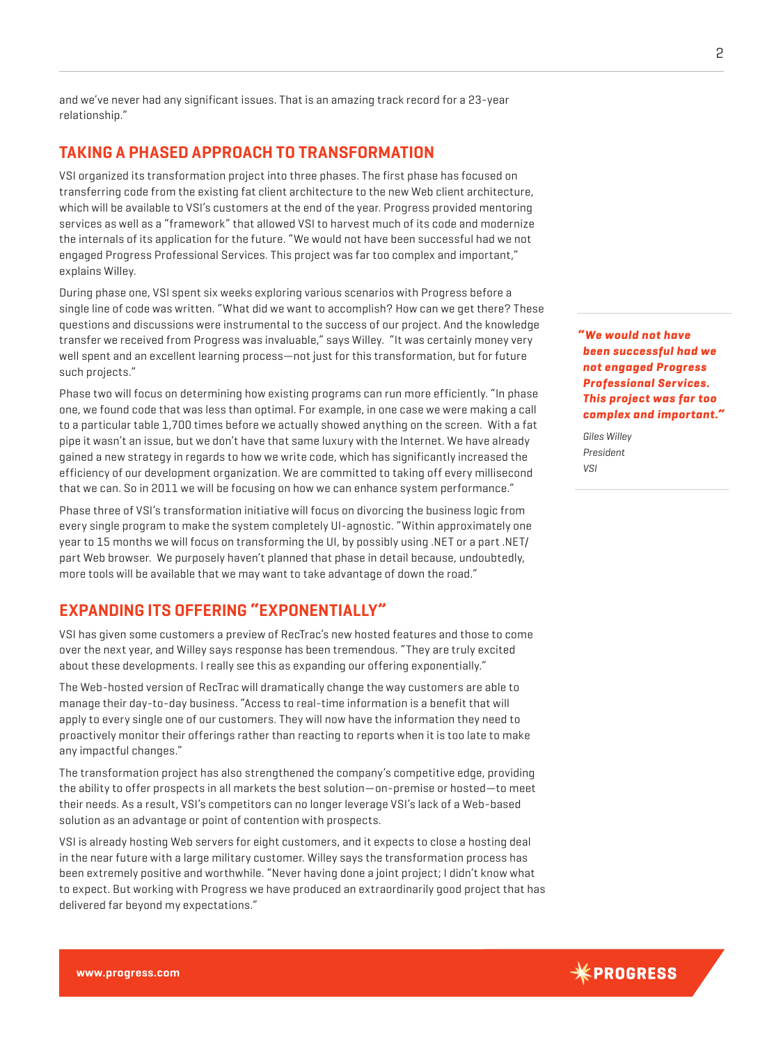and we've never had any significant issues. That is an amazing track record for a 23-year relationship."

# **TAKING A PHASED APPROACH TO TRANSFORMATION**

VSI organized its transformation project into three phases. The first phase has focused on transferring code from the existing fat client architecture to the new Web client architecture, which will be available to VSI's customers at the end of the year. Progress provided mentoring services as well as a "framework" that allowed VSI to harvest much of its code and modernize the internals of its application for the future. "We would not have been successful had we not engaged Progress Professional Services. This project was far too complex and important," explains Willey.

During phase one, VSI spent six weeks exploring various scenarios with Progress before a single line of code was written. "What did we want to accomplish? How can we get there? These questions and discussions were instrumental to the success of our project. And the knowledge transfer we received from Progress was invaluable," says Willey. "It was certainly money very well spent and an excellent learning process—not just for this transformation, but for future such projects."

Phase two will focus on determining how existing programs can run more efficiently. "In phase one, we found code that was less than optimal. For example, in one case we were making a call to a particular table 1,700 times before we actually showed anything on the screen. With a fat pipe it wasn't an issue, but we don't have that same luxury with the Internet. We have already gained a new strategy in regards to how we write code, which has significantly increased the efficiency of our development organization. We are committed to taking off every millisecond that we can. So in 2011 we will be focusing on how we can enhance system performance."

Phase three of VSI's transformation initiative will focus on divorcing the business logic from every single program to make the system completely UI-agnostic. "Within approximately one year to 15 months we will focus on transforming the UI, by possibly using .NET or a part .NET/ part Web browser. We purposely haven't planned that phase in detail because, undoubtedly, more tools will be available that we may want to take advantage of down the road."

# **EXPANDING ITS OFFERING "EXPONENTIALLY"**

VSI has given some customers a preview of RecTrac's new hosted features and those to come over the next year, and Willey says response has been tremendous. "They are truly excited about these developments. I really see this as expanding our offering exponentially."

The Web-hosted version of RecTrac will dramatically change the way customers are able to manage their day-to-day business. "Access to real-time information is a benefit that will apply to every single one of our customers. They will now have the information they need to proactively monitor their offerings rather than reacting to reports when it is too late to make any impactful changes."

The transformation project has also strengthened the company's competitive edge, providing the ability to offer prospects in all markets the best solution—on-premise or hosted—to meet their needs. As a result, VSI's competitors can no longer leverage VSI's lack of a Web-based solution as an advantage or point of contention with prospects.

VSI is already hosting Web servers for eight customers, and it expects to close a hosting deal in the near future with a large military customer. Willey says the transformation process has been extremely positive and worthwhile. "Never having done a joint project; I didn't know what to expect. But working with Progress we have produced an extraordinarily good project that has delivered far beyond my expectations."

*" We would not have been successful had we not engaged Progress Professional Services. This project was far too complex and important."*

*Giles Willey President VSI*

 $*$ PROGRESS